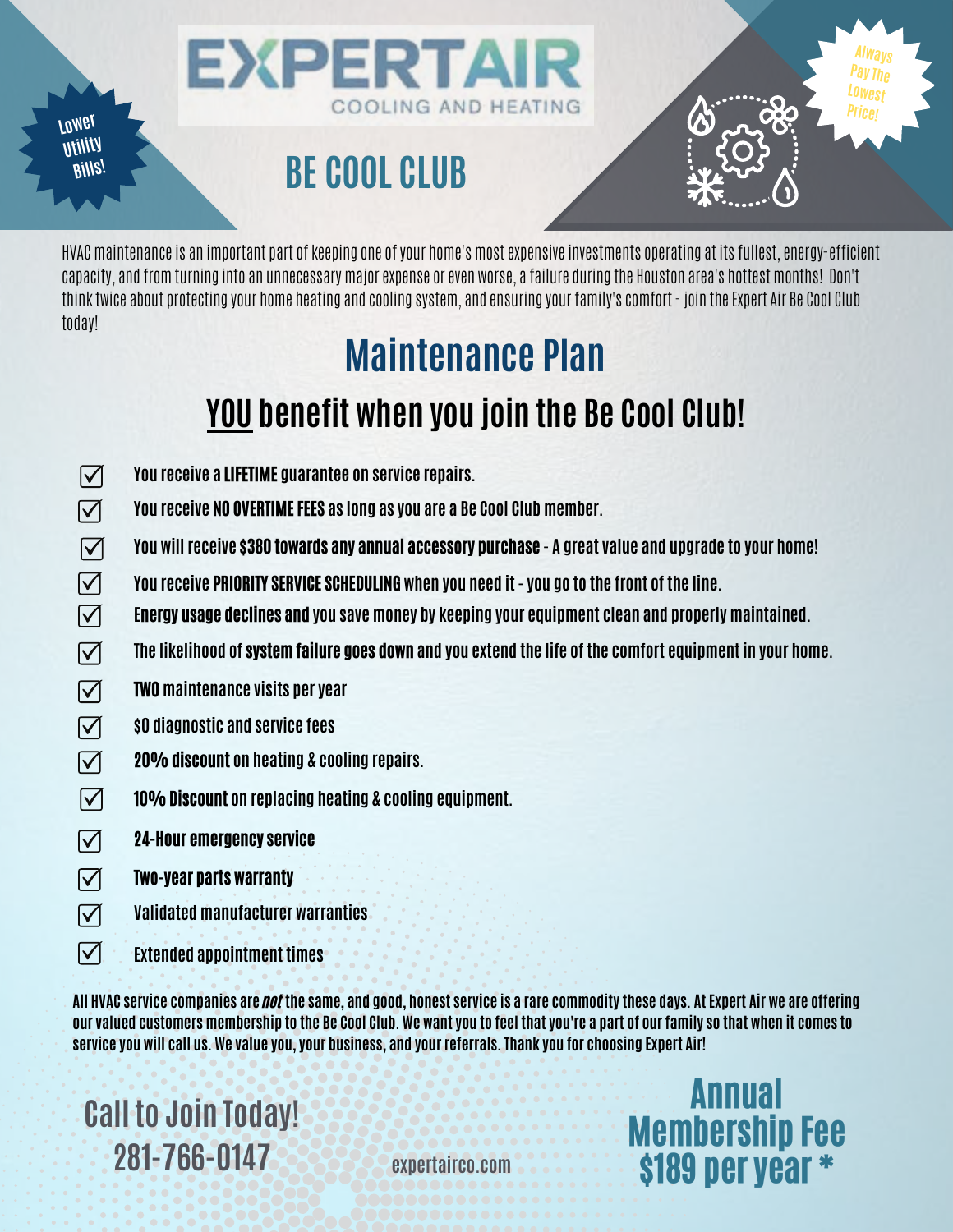**Lower Utility Bills!**

# **BE COOL CLUB**

**EXPERTAIR** 

HVAC maintenance is an important part of keeping one of your home's most expensive investments operating at its fullest, energy-efficient capacity, and from turning into an unnecessary major expense or even worse, a failure during the Houston area's hottest months! Don't think twice about protecting your home heating and cooling system, and ensuring your family's comfort - join the Expert Air Be Cool Club today!

COOLING AND HEATING

## **Maintenance Plan**

### **YOU benefit when you join the Be Cool Club!**

- $\overline{\mathsf{M}}$ **You receive a** LIFETIME **guarantee on service repairs.**
- $\overline{\mathsf{M}}$ **You receive** NO OVERTIME FEES **as long as you are a Be Cool Club member.**
- $\overline{\mathbf{M}}$ **You will receive** \$380 towards any annual accessory purchase **- A great value and upgrade to your home!**
- $\overline{\mathbb{N}}$ **You receive** PRIORITY SERVICE SCHEDULING **when you need it - you go to the front of the line.**
- $\overline{\mathbf{M}}$ **E**nergy usage declines and **you save money by keeping your equipment clean and properly maintained.**
- $\overline{\mathbf{M}}$ **The likelihood of** system failure goes down **and you extend the life of the comfort equipment in your home.**
- $\overline{\mathsf{M}}$ TWO **maintenance visits per year**
- $\boxed{\blacktriangledown}$ **\$0 diagnostic and service fees**
- $\overline{\mathsf{M}}$ 20% discount **on heating & cooling repairs.**
- $\boxed{\blacktriangledown}$ 10% Discount **on replacing heating & cooling equipment.**
- $\overline{\mathbf{M}}$ 24-Hour emergency service
- $\overline{\mathsf{M}}$ Two-year parts warranty
- $\overline{\mathsf{M}}$ **Validated manufacturer warranties**
- $\overline{\mathsf{M}}$ **Extended appointment times**

**All HVAC service companies are** not **the same, and good, honest service is a rare commodity these days. At Expert Air we are offering our valued customers membership to the Be Cool Club. We want you to feel that you're a part of our family so that when it comes to service you will call us. We value you, your business, and your referrals. Thank you for choosing Expert Air!**

**Call to Join Today! 281-766-0147**

**expertairco.com**

Annual Membership Fee \$189 per year \*

**Always Pay The Lowest Price!**